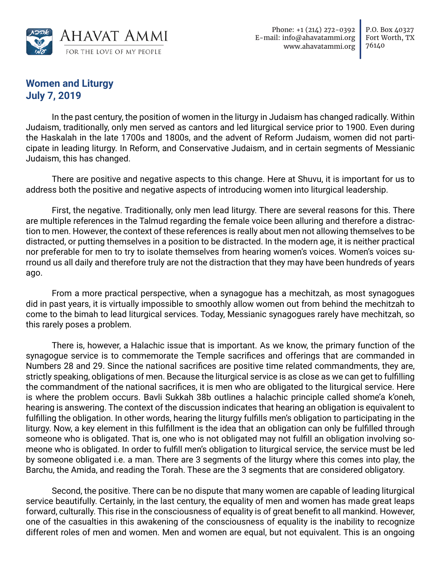

## **Women and Liturgy July 7, 2019**

In the past century, the position of women in the liturgy in Judaism has changed radically. Within Judaism, traditionally, only men served as cantors and led liturgical service prior to 1900. Even during the Haskalah in the late 1700s and 1800s, and the advent of Reform Judaism, women did not participate in leading liturgy. In Reform, and Conservative Judaism, and in certain segments of Messianic Judaism, this has changed.

There are positive and negative aspects to this change. Here at Shuvu, it is important for us to address both the positive and negative aspects of introducing women into liturgical leadership.

First, the negative. Traditionally, only men lead liturgy. There are several reasons for this. There are multiple references in the Talmud regarding the female voice been alluring and therefore a distraction to men. However, the context of these references is really about men not allowing themselves to be distracted, or putting themselves in a position to be distracted. In the modern age, it is neither practical nor preferable for men to try to isolate themselves from hearing women's voices. Women's voices surround us all daily and therefore truly are not the distraction that they may have been hundreds of years ago.

From a more practical perspective, when a synagogue has a mechitzah, as most synagogues did in past years, it is virtually impossible to smoothly allow women out from behind the mechitzah to come to the bimah to lead liturgical services. Today, Messianic synagogues rarely have mechitzah, so this rarely poses a problem.

There is, however, a Halachic issue that is important. As we know, the primary function of the synagogue service is to commemorate the Temple sacrifices and offerings that are commanded in Numbers 28 and 29. Since the national sacrifices are positive time related commandments, they are, strictly speaking, obligations of men. Because the liturgical service is as close as we can get to fulfilling the commandment of the national sacrifices, it is men who are obligated to the liturgical service. Here is where the problem occurs. Bavli Sukkah 38b outlines a halachic principle called shome'a k'oneh, hearing is answering. The context of the discussion indicates that hearing an obligation is equivalent to fulfilling the obligation. In other words, hearing the liturgy fulfills men's obligation to participating in the liturgy. Now, a key element in this fulfillment is the idea that an obligation can only be fulfilled through someone who is obligated. That is, one who is not obligated may not fulfill an obligation involving someone who is obligated. In order to fulfill men's obligation to liturgical service, the service must be led by someone obligated i.e. a man. There are 3 segments of the liturgy where this comes into play, the Barchu, the Amida, and reading the Torah. These are the 3 segments that are considered obligatory.

Second, the positive. There can be no dispute that many women are capable of leading liturgical service beautifully. Certainly, in the last century, the equality of men and women has made great leaps forward, culturally. This rise in the consciousness of equality is of great benefit to all mankind. However, one of the casualties in this awakening of the consciousness of equality is the inability to recognize different roles of men and women. Men and women are equal, but not equivalent. This is an ongoing